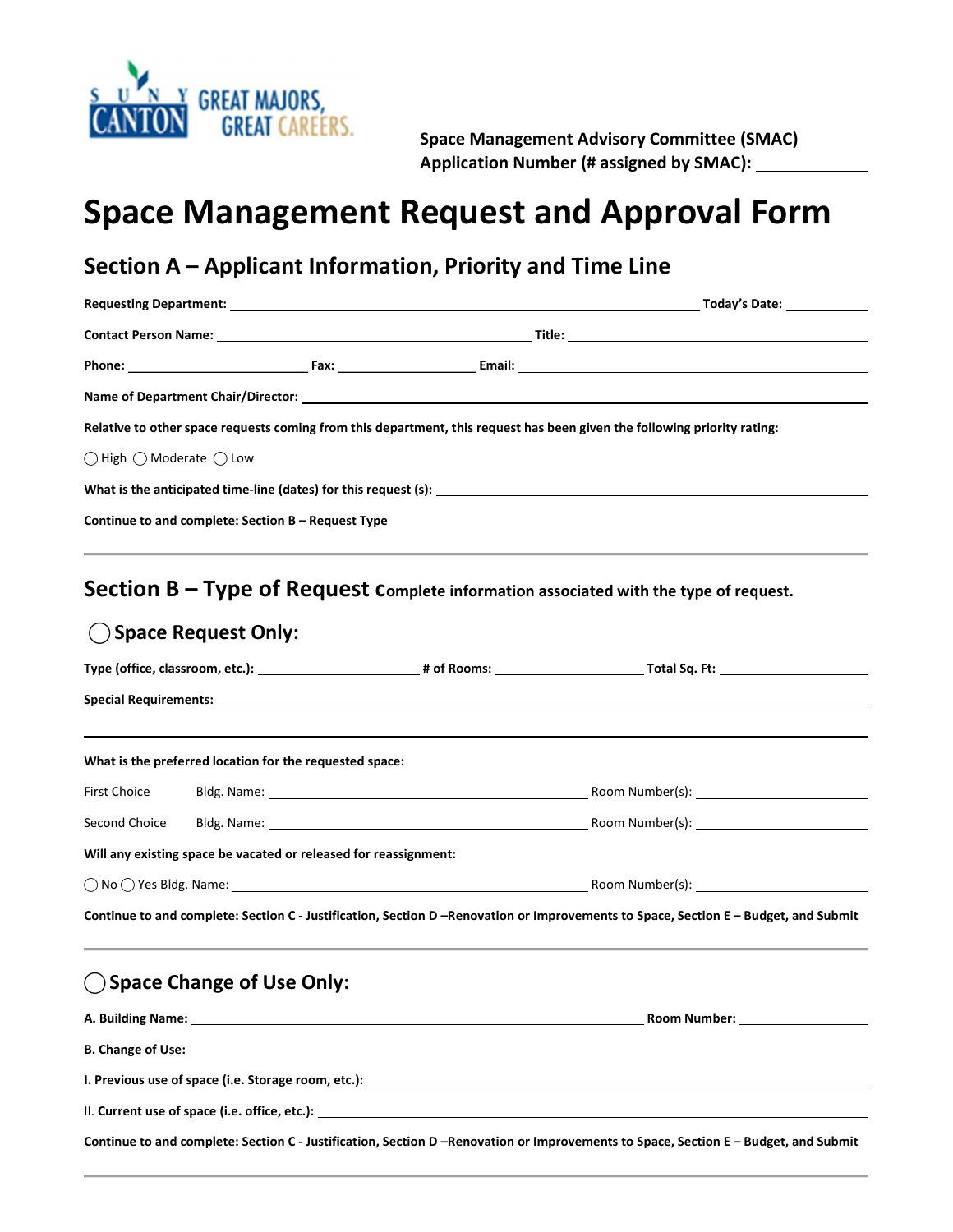

 Space Management Advisory Committee (SMAC) Application Number (# assigned by SMAC): \_\_\_\_\_\_\_\_\_

# Space Management Request and Approval Form

## Section A – Applicant Information, Priority and Time Line

|                                                    |                                                                  |  | Relative to other space requests coming from this department, this request has been given the following priority rating:                                                                                                      |  |  |
|----------------------------------------------------|------------------------------------------------------------------|--|-------------------------------------------------------------------------------------------------------------------------------------------------------------------------------------------------------------------------------|--|--|
| $\bigcirc$ High $\bigcirc$ Moderate $\bigcirc$ Low |                                                                  |  |                                                                                                                                                                                                                               |  |  |
|                                                    |                                                                  |  |                                                                                                                                                                                                                               |  |  |
|                                                    | Continue to and complete: Section B - Request Type               |  |                                                                                                                                                                                                                               |  |  |
|                                                    |                                                                  |  | Section $B - Type$ of Request Complete information associated with the type of request.                                                                                                                                       |  |  |
|                                                    | ◯ Space Request Only:                                            |  |                                                                                                                                                                                                                               |  |  |
|                                                    |                                                                  |  | Type (office, classroom, etc.): 1990 12 = 100 = 100 = 100 = 100 = 100 = 100 = 100 = 100 = 100 = 100 = 100 = 100 = 100 = 100 = 100 = 100 = 100 = 100 = 100 = 100 = 100 = 100 = 100 = 100 = 100 = 100 = 100 = 100 = 100 = 100 = |  |  |
|                                                    |                                                                  |  |                                                                                                                                                                                                                               |  |  |
|                                                    |                                                                  |  |                                                                                                                                                                                                                               |  |  |
|                                                    | What is the preferred location for the requested space:          |  |                                                                                                                                                                                                                               |  |  |
| First Choice                                       |                                                                  |  |                                                                                                                                                                                                                               |  |  |
|                                                    |                                                                  |  |                                                                                                                                                                                                                               |  |  |
|                                                    | Will any existing space be vacated or released for reassignment: |  |                                                                                                                                                                                                                               |  |  |
|                                                    |                                                                  |  |                                                                                                                                                                                                                               |  |  |
|                                                    |                                                                  |  | Continue to and complete: Section C - Justification, Section D -Renovation or Improvements to Space, Section E - Budget, and Submit                                                                                           |  |  |
|                                                    | ◯ Space Change of Use Only:                                      |  |                                                                                                                                                                                                                               |  |  |
|                                                    |                                                                  |  |                                                                                                                                                                                                                               |  |  |
| <b>B. Change of Use:</b>                           |                                                                  |  |                                                                                                                                                                                                                               |  |  |
|                                                    |                                                                  |  |                                                                                                                                                                                                                               |  |  |
|                                                    |                                                                  |  |                                                                                                                                                                                                                               |  |  |
|                                                    |                                                                  |  | Continue to and complete: Section C - Justification, Section D -Renovation or Improvements to Space, Section E - Budget, and Submit                                                                                           |  |  |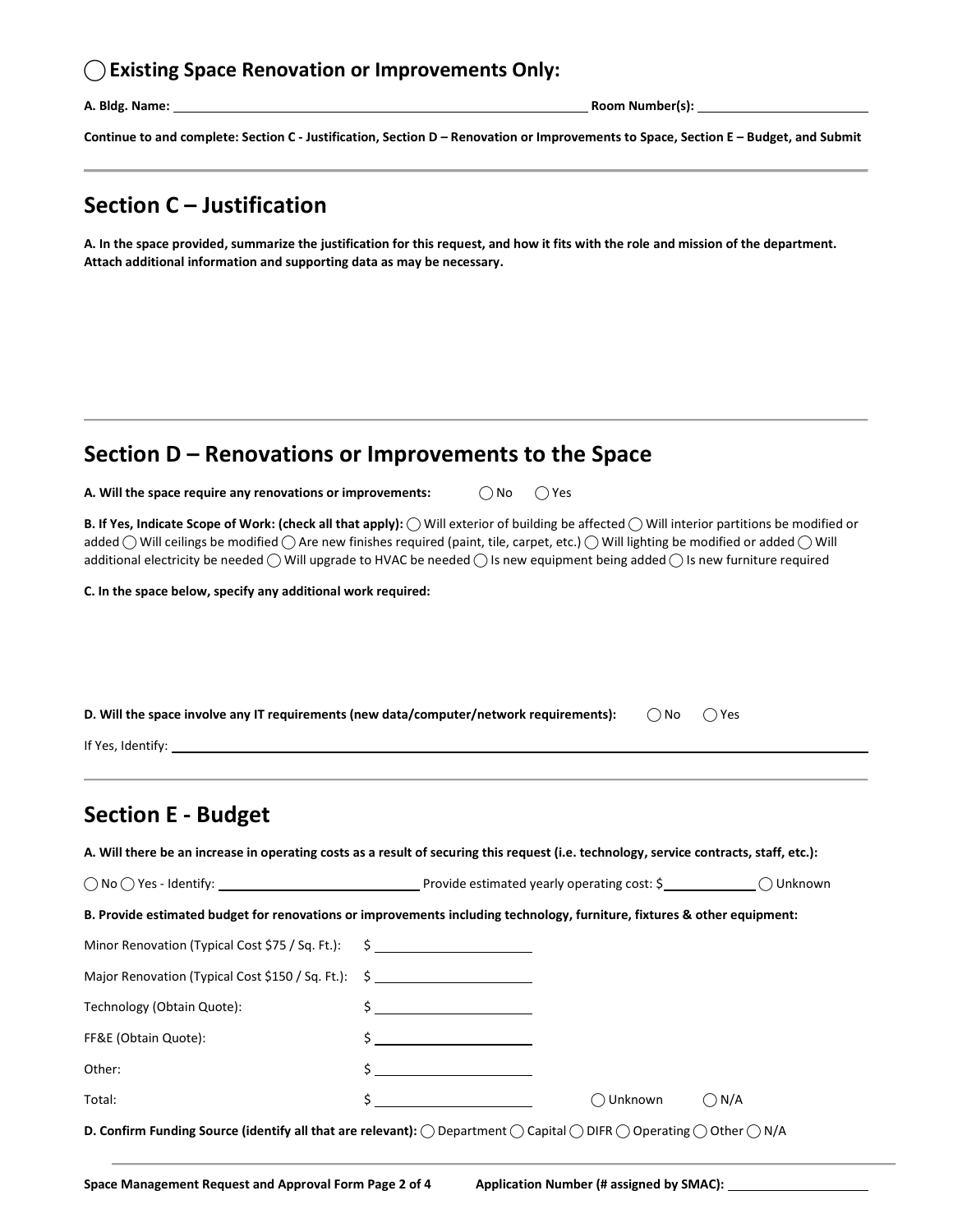#### $\bigcirc$  Existing Space Renovation or Improvements Only:

A. Bldg. Name:

A. Bldg. Name: Room Number(s): 

Continue to and complete: Section C - Justification, Section D – Renovation or Improvements to Space, Section E – Budget, and Submit

### Section C – Justification

 A. In the space provided, summarize the justification for this request, and how it fits with the role and mission of the department. Attach additional information and supporting data as may be necessary.

## Section D – Renovations or Improvements to the Space

A. Will the space require any renovations or improvements:  $\bigcirc \mathsf{No} \ \bigcirc \mathsf{Yes}$ 

B. If Yes, Indicate Scope of Work: (check all that apply):  $\bigcirc$  Will exterior of building be affected  $\bigcirc$  Will interior partitions be modified or added  $\bigcirc$  Will ceilings be modified  $\bigcirc$  Are new finishes required (paint, tile, carpet, etc.)  $\bigcirc$  Will lighting be modified or added  $\bigcirc$  Will additional electricity be needed  $\bigcirc$  Will upgrade to HVAC be needed  $\bigcirc$  Is new equipment being added  $\bigcirc$  Is new furniture required

C. In the space below, specify any additional work required:

| D. Will the space involve any IT requirements (new data/computer/network requirements):<br>$\bigcap$ No<br>$\bigcap$ Yes                                                  |  |                                                                                  |  |          |  |  |  |  |
|---------------------------------------------------------------------------------------------------------------------------------------------------------------------------|--|----------------------------------------------------------------------------------|--|----------|--|--|--|--|
| <b>Section E - Budget</b>                                                                                                                                                 |  | ,我们也不会有什么?""我们的人,我们也不会有什么?""我们的人,我们也不会有什么?""我们的人,我们也不会有什么?""我们的人,我们也不会有什么?""我们的人 |  |          |  |  |  |  |
| A. Will there be an increase in operating costs as a result of securing this request (i.e. technology, service contracts, staff, etc.):                                   |  |                                                                                  |  |          |  |  |  |  |
|                                                                                                                                                                           |  |                                                                                  |  |          |  |  |  |  |
| B. Provide estimated budget for renovations or improvements including technology, furniture, fixtures & other equipment:                                                  |  |                                                                                  |  |          |  |  |  |  |
| Minor Renovation (Typical Cost \$75 / Sq. Ft.): \$                                                                                                                        |  |                                                                                  |  |          |  |  |  |  |
| Major Renovation (Typical Cost \$150 / Sq. Ft.): \$                                                                                                                       |  |                                                                                  |  |          |  |  |  |  |
| Technology (Obtain Quote):                                                                                                                                                |  | $\frac{1}{2}$                                                                    |  |          |  |  |  |  |
| FF&E (Obtain Quote):                                                                                                                                                      |  | $\frac{1}{2}$                                                                    |  |          |  |  |  |  |
| Other:                                                                                                                                                                    |  | $\frac{1}{2}$                                                                    |  |          |  |  |  |  |
| Total:                                                                                                                                                                    |  | $\sharp$ $\qquad \qquad$<br>◯ Unknown                                            |  | $()$ N/A |  |  |  |  |
| D. Confirm Funding Source (identify all that are relevant): $\bigcirc$ Department $\bigcirc$ Capital $\bigcirc$ DIFR $\bigcirc$ Operating $\bigcirc$ Other $\bigcirc$ N/A |  |                                                                                  |  |          |  |  |  |  |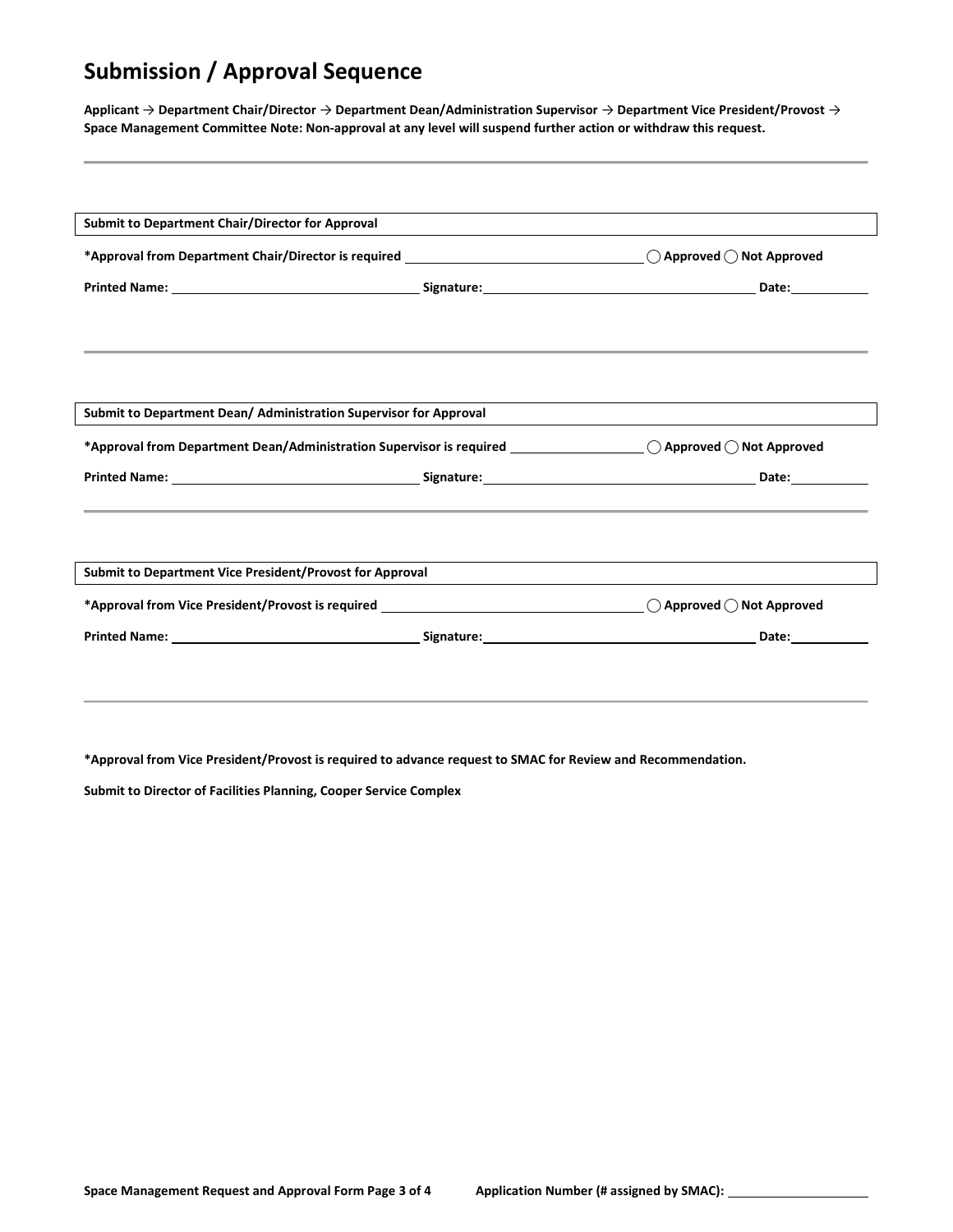## Submission / Approval Sequence

Applicant  $\to$  Department Chair/Director  $\to$  Department Dean/Administration Supervisor  $\to$  Department Vice President/Provost  $\to$ Space Management Committee Note: Non-approval at any level will suspend further action or withdraw this request.

| Submit to Department Chair/Director for Approval                                                                                         |                                                                                   |  |
|------------------------------------------------------------------------------------------------------------------------------------------|-----------------------------------------------------------------------------------|--|
|                                                                                                                                          |                                                                                   |  |
|                                                                                                                                          |                                                                                   |  |
|                                                                                                                                          |                                                                                   |  |
|                                                                                                                                          |                                                                                   |  |
| Submit to Department Dean/ Administration Supervisor for Approval                                                                        |                                                                                   |  |
| *Approval from Department Dean/Administration Supervisor is required _______________________ $\bigcirc$ Approved $\bigcirc$ Not Approved |                                                                                   |  |
|                                                                                                                                          |                                                                                   |  |
|                                                                                                                                          | ,我们也不能会在这里,我们也不能会在这里,我们也不能会在这里,我们也不能会在这里,我们也不能会在这里,我们也不能会在这里,我们也不能会不能会不能会。""我们,我们 |  |
| Submit to Department Vice President/Provost for Approval                                                                                 |                                                                                   |  |
|                                                                                                                                          |                                                                                   |  |
|                                                                                                                                          |                                                                                   |  |

\*Approval from Vice President/Provost is required to advance request to SMAC for Review and Recommendation.

Submit to Director of Facilities Planning, Cooper Service Complex